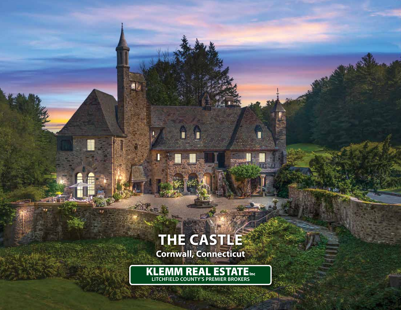# **THE CASTLE**

aj,

I

u

أوجيني

**Cornwall, Connecticut**